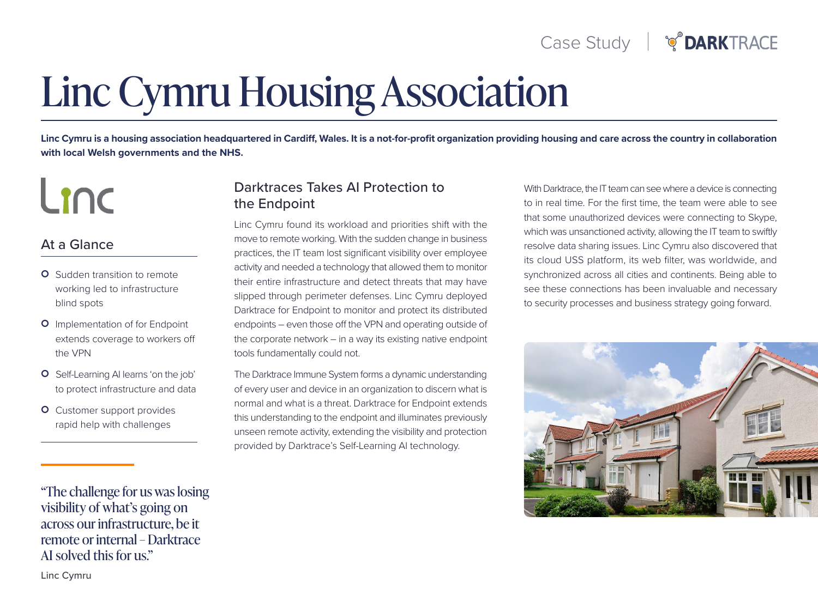# **Linc Cymru Housing Association**

Linc Cvmru is a housing association headquartered in Cardiff. Wales. It is a not-for-profit organization providing housing and care across the country in collaboration with local Welsh governments and the NHS.

# Linc

### At a Glance

- **O** Sudden transition to remote working led to infrastructure blind spots
- **O** Implementation of for Endpoint extends coverage to workers off the VPN
- O Self-Learning AI learns 'on the job' to protect infrastructure and data
- **O** Customer support provides rapid help with challenges

"The challenge for us was losing visibility of what's going on across our infrastructure, be it remote or internal – Darktrace AI solved this for us."

Linc Cymru

#### Darktraces Takes AI Protection to the Endpoint

Linc Cymru found its workload and priorities shift with the move to remote working. With the sudden change in business practices, the IT team lost significant visibility over employee activity and needed a technology that allowed them to monitor their entire infrastructure and detect threats that may have slipped through perimeter defenses. Linc Cymru deployed Darktrace for Endpoint to monitor and protect its distributed endpoints – even those off the VPN and operating outside of the corporate network – in a way its existing native endpoint tools fundamentally could not.

The Darktrace Immune System forms a dynamic understanding of every user and device in an organization to discern what is normal and what is a threat. Darktrace for Endpoint extends this understanding to the endpoint and illuminates previously unseen remote activity, extending the visibility and protection provided by Darktrace's Self-Learning AI technology.

With Darktrace, the IT team can see where a device is connecting to in real time. For the first time, the team were able to see that some unauthorized devices were connecting to Skype, which was unsanctioned activity, allowing the IT team to swiftly resolve data sharing issues. Linc Cymru also discovered that its cloud USS platform, its web filter, was worldwide, and synchronized across all cities and continents. Being able to see these connections has been invaluable and necessary to security processes and business strategy going forward.